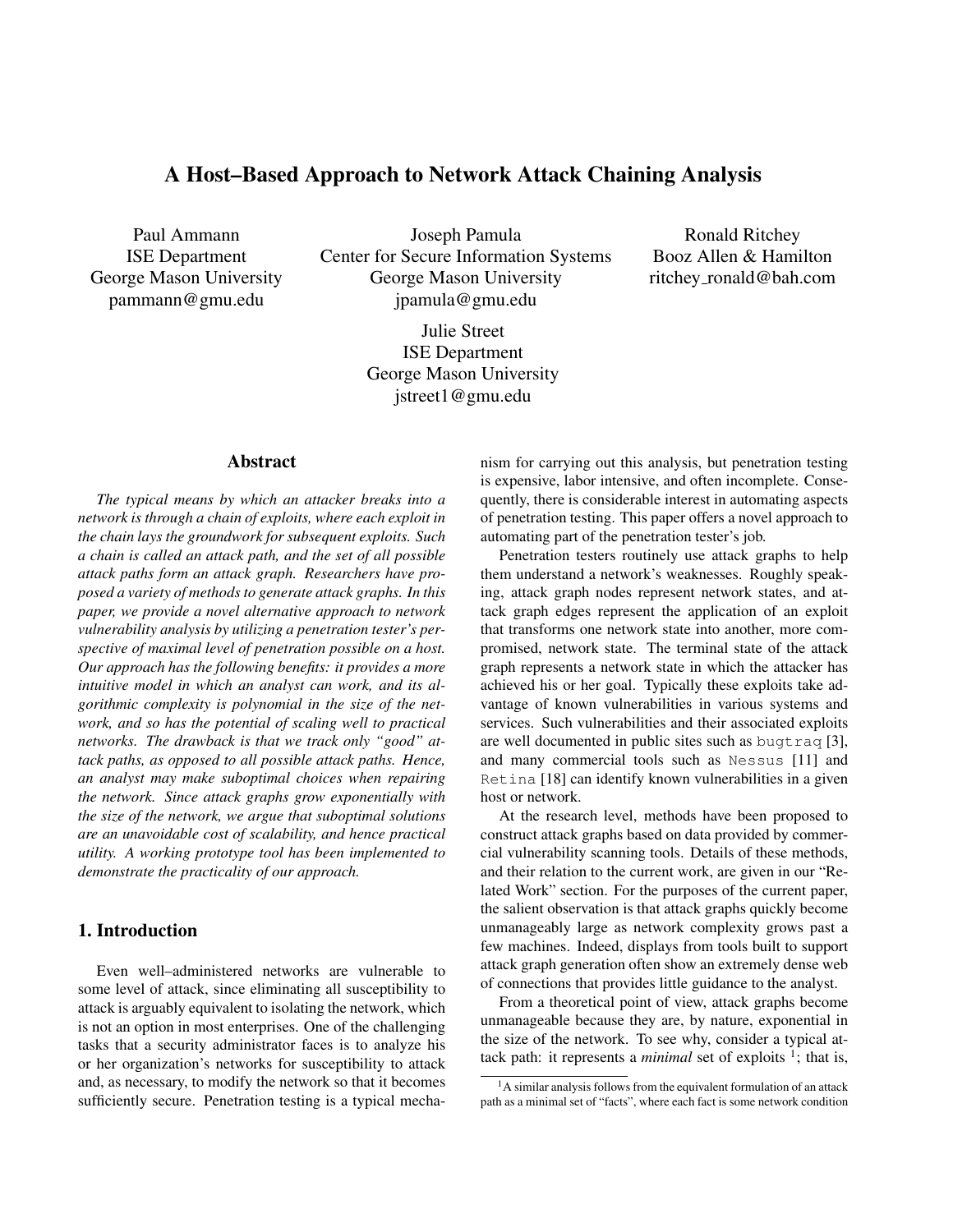# A Host–Based Approach to Network Attack Chaining Analysis

Paul Ammann ISE Department George Mason University pammann@gmu.edu

Joseph Pamula Center for Secure Information Systems George Mason University jpamula@gmu.edu

Ronald Ritchey Booz Allen & Hamilton ritchey ronald@bah.com

Julie Street ISE Department George Mason University jstreet1@gmu.edu

## Abstract

*The typical means by which an attacker breaks into a network is through a chain of exploits, where each exploit in the chain lays the groundwork for subsequent exploits. Such a chain is called an attack path, and the set of all possible attack paths form an attack graph. Researchers have proposed a variety of methods to generate attack graphs. In this paper, we provide a novel alternative approach to network vulnerability analysis by utilizing a penetration tester's perspective of maximal level of penetration possible on a host. Our approach has the following benefits: it provides a more intuitive model in which an analyst can work, and its algorithmic complexity is polynomial in the size of the network, and so has the potential of scaling well to practical networks. The drawback is that we track only "good" attack paths, as opposed to all possible attack paths. Hence, an analyst may make suboptimal choices when repairing the network. Since attack graphs grow exponentially with the size of the network, we argue that suboptimal solutions are an unavoidable cost of scalability, and hence practical utility. A working prototype tool has been implemented to demonstrate the practicality of our approach.*

## 1. Introduction

Even well–administered networks are vulnerable to some level of attack, since eliminating all susceptibility to attack is arguably equivalent to isolating the network, which is not an option in most enterprises. One of the challenging tasks that a security administrator faces is to analyze his or her organization's networks for susceptibility to attack and, as necessary, to modify the network so that it becomes sufficiently secure. Penetration testing is a typical mechanism for carrying out this analysis, but penetration testing is expensive, labor intensive, and often incomplete. Consequently, there is considerable interest in automating aspects of penetration testing. This paper offers a novel approach to automating part of the penetration tester's job.

Penetration testers routinely use attack graphs to help them understand a network's weaknesses. Roughly speaking, attack graph nodes represent network states, and attack graph edges represent the application of an exploit that transforms one network state into another, more compromised, network state. The terminal state of the attack graph represents a network state in which the attacker has achieved his or her goal. Typically these exploits take advantage of known vulnerabilities in various systems and services. Such vulnerabilities and their associated exploits are well documented in public sites such as bugtraq [3], and many commercial tools such as Nessus [11] and Retina [18] can identify known vulnerabilities in a given host or network.

At the research level, methods have been proposed to construct attack graphs based on data provided by commercial vulnerability scanning tools. Details of these methods, and their relation to the current work, are given in our "Related Work" section. For the purposes of the current paper, the salient observation is that attack graphs quickly become unmanageably large as network complexity grows past a few machines. Indeed, displays from tools built to support attack graph generation often show an extremely dense web of connections that provides little guidance to the analyst.

From a theoretical point of view, attack graphs become unmanageable because they are, by nature, exponential in the size of the network. To see why, consider a typical attack path: it represents a *minimal* set of exploits <sup>1</sup>; that is,

<sup>&</sup>lt;sup>1</sup>A similar analysis follows from the equivalent formulation of an attack path as a minimal set of "facts", where each fact is some network condition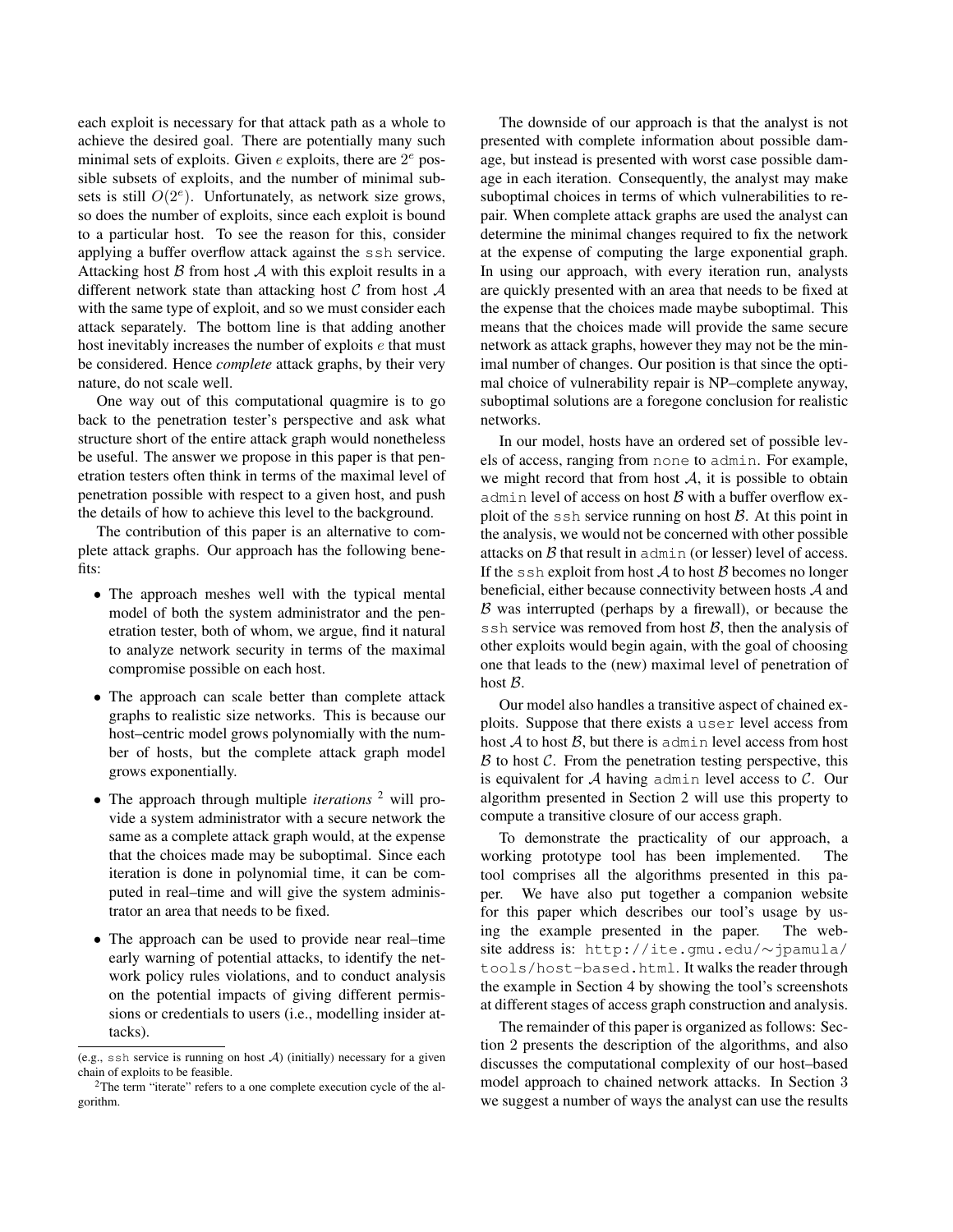each exploit is necessary for that attack path as a whole to achieve the desired goal. There are potentially many such minimal sets of exploits. Given  $e$  exploits, there are  $2^e$  possible subsets of exploits, and the number of minimal subsets is still  $O(2^e)$ . Unfortunately, as network size grows, so does the number of exploits, since each exploit is bound to a particular host. To see the reason for this, consider applying a buffer overflow attack against the ssh service. Attacking host  $\beta$  from host  $\mathcal A$  with this exploit results in a different network state than attacking host  $C$  from host  $A$ with the same type of exploit, and so we must consider each attack separately. The bottom line is that adding another host inevitably increases the number of exploits e that must be considered. Hence *complete* attack graphs, by their very nature, do not scale well.

One way out of this computational quagmire is to go back to the penetration tester's perspective and ask what structure short of the entire attack graph would nonetheless be useful. The answer we propose in this paper is that penetration testers often think in terms of the maximal level of penetration possible with respect to a given host, and push the details of how to achieve this level to the background.

The contribution of this paper is an alternative to complete attack graphs. Our approach has the following benefits:

- The approach meshes well with the typical mental model of both the system administrator and the penetration tester, both of whom, we argue, find it natural to analyze network security in terms of the maximal compromise possible on each host.
- The approach can scale better than complete attack graphs to realistic size networks. This is because our host–centric model grows polynomially with the number of hosts, but the complete attack graph model grows exponentially.
- The approach through multiple *iterations* <sup>2</sup> will provide a system administrator with a secure network the same as a complete attack graph would, at the expense that the choices made may be suboptimal. Since each iteration is done in polynomial time, it can be computed in real–time and will give the system administrator an area that needs to be fixed.
- The approach can be used to provide near real–time early warning of potential attacks, to identify the network policy rules violations, and to conduct analysis on the potential impacts of giving different permissions or credentials to users (i.e., modelling insider attacks).

The downside of our approach is that the analyst is not presented with complete information about possible damage, but instead is presented with worst case possible damage in each iteration. Consequently, the analyst may make suboptimal choices in terms of which vulnerabilities to repair. When complete attack graphs are used the analyst can determine the minimal changes required to fix the network at the expense of computing the large exponential graph. In using our approach, with every iteration run, analysts are quickly presented with an area that needs to be fixed at the expense that the choices made maybe suboptimal. This means that the choices made will provide the same secure network as attack graphs, however they may not be the minimal number of changes. Our position is that since the optimal choice of vulnerability repair is NP–complete anyway, suboptimal solutions are a foregone conclusion for realistic networks.

In our model, hosts have an ordered set of possible levels of access, ranging from none to admin. For example, we might record that from host  $A$ , it is possible to obtain admin level of access on host  $\beta$  with a buffer overflow exploit of the ssh service running on host  $\beta$ . At this point in the analysis, we would not be concerned with other possible attacks on  $\beta$  that result in admin (or lesser) level of access. If the ssh exploit from host  $A$  to host  $B$  becomes no longer beneficial, either because connectivity between hosts  $A$  and  $B$  was interrupted (perhaps by a firewall), or because the ssh service was removed from host  $\beta$ , then the analysis of other exploits would begin again, with the goal of choosing one that leads to the (new) maximal level of penetration of host B.

Our model also handles a transitive aspect of chained exploits. Suppose that there exists a user level access from host  $A$  to host  $B$ , but there is admin level access from host  $\beta$  to host  $\beta$ . From the penetration testing perspective, this is equivalent for  $A$  having admin level access to  $C$ . Our algorithm presented in Section 2 will use this property to compute a transitive closure of our access graph.

To demonstrate the practicality of our approach, a working prototype tool has been implemented. The tool comprises all the algorithms presented in this paper. We have also put together a companion website for this paper which describes our tool's usage by using the example presented in the paper. The website address is: http://ite.gmu.edu/∼jpamula/ tools/host-based.html. It walks the reader through the example in Section 4 by showing the tool's screenshots at different stages of access graph construction and analysis.

The remainder of this paper is organized as follows: Section 2 presents the description of the algorithms, and also discusses the computational complexity of our host–based model approach to chained network attacks. In Section 3 we suggest a number of ways the analyst can use the results

<sup>(</sup>e.g., ssh service is running on host  $A$ ) (initially) necessary for a given chain of exploits to be feasible.

<sup>&</sup>lt;sup>2</sup>The term "iterate" refers to a one complete execution cycle of the algorithm.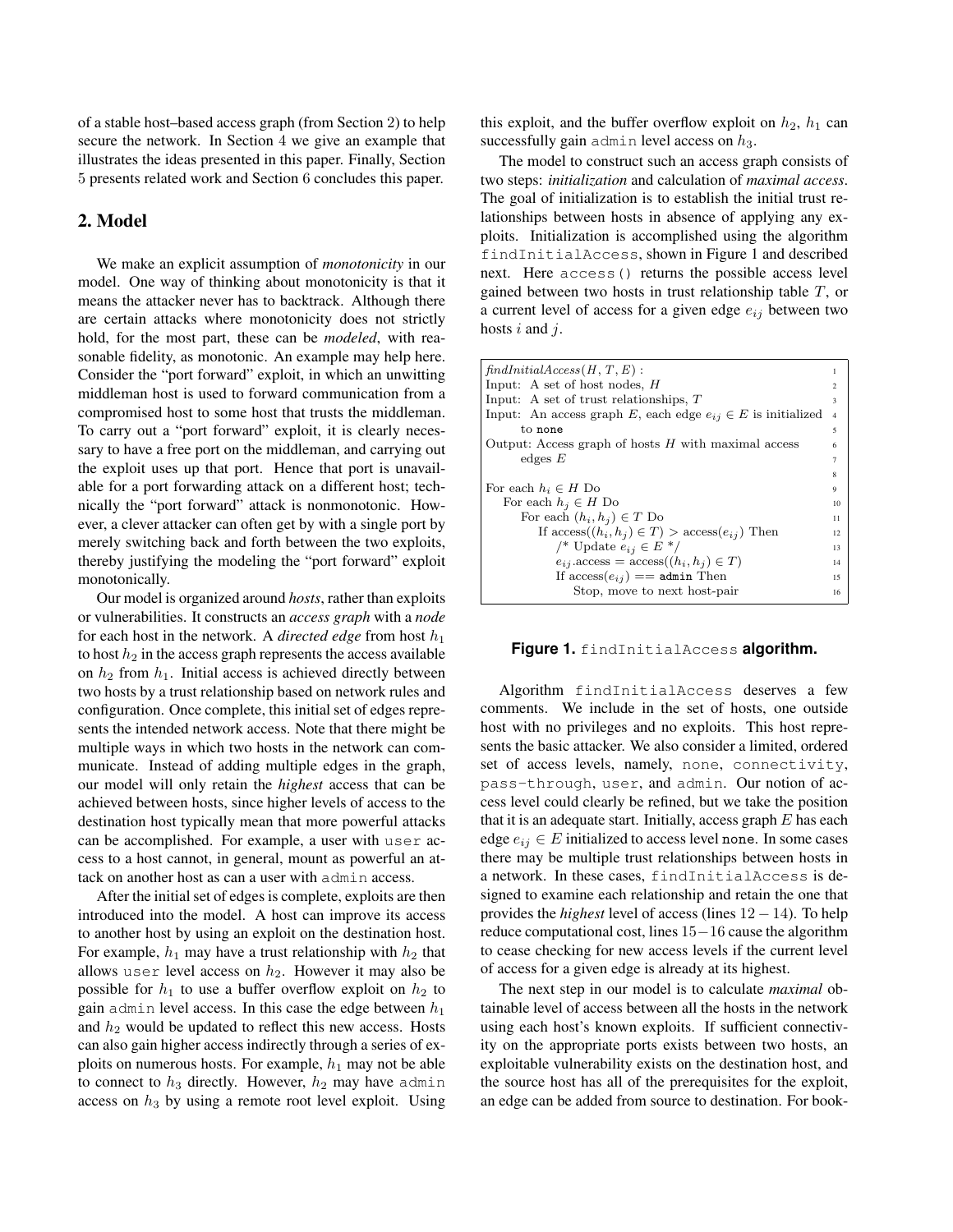of a stable host–based access graph (from Section 2) to help secure the network. In Section 4 we give an example that illustrates the ideas presented in this paper. Finally, Section 5 presents related work and Section 6 concludes this paper.

## 2. Model

We make an explicit assumption of *monotonicity* in our model. One way of thinking about monotonicity is that it means the attacker never has to backtrack. Although there are certain attacks where monotonicity does not strictly hold, for the most part, these can be *modeled*, with reasonable fidelity, as monotonic. An example may help here. Consider the "port forward" exploit, in which an unwitting middleman host is used to forward communication from a compromised host to some host that trusts the middleman. To carry out a "port forward" exploit, it is clearly necessary to have a free port on the middleman, and carrying out the exploit uses up that port. Hence that port is unavailable for a port forwarding attack on a different host; technically the "port forward" attack is nonmonotonic. However, a clever attacker can often get by with a single port by merely switching back and forth between the two exploits, thereby justifying the modeling the "port forward" exploit monotonically.

Our model is organized around *hosts*, rather than exploits or vulnerabilities. It constructs an *access graph* with a *node* for each host in the network. A *directed edge* from host  $h_1$ to host  $h_2$  in the access graph represents the access available on  $h_2$  from  $h_1$ . Initial access is achieved directly between two hosts by a trust relationship based on network rules and configuration. Once complete, this initial set of edges represents the intended network access. Note that there might be multiple ways in which two hosts in the network can communicate. Instead of adding multiple edges in the graph, our model will only retain the *highest* access that can be achieved between hosts, since higher levels of access to the destination host typically mean that more powerful attacks can be accomplished. For example, a user with user access to a host cannot, in general, mount as powerful an attack on another host as can a user with admin access.

After the initial set of edges is complete, exploits are then introduced into the model. A host can improve its access to another host by using an exploit on the destination host. For example,  $h_1$  may have a trust relationship with  $h_2$  that allows user level access on  $h_2$ . However it may also be possible for  $h_1$  to use a buffer overflow exploit on  $h_2$  to gain admin level access. In this case the edge between  $h_1$ and  $h_2$  would be updated to reflect this new access. Hosts can also gain higher access indirectly through a series of exploits on numerous hosts. For example,  $h_1$  may not be able to connect to  $h_3$  directly. However,  $h_2$  may have admin access on  $h_3$  by using a remote root level exploit. Using this exploit, and the buffer overflow exploit on  $h_2$ ,  $h_1$  can successfully gain admin level access on  $h_3$ .

The model to construct such an access graph consists of two steps: *initialization* and calculation of *maximal access*. The goal of initialization is to establish the initial trust relationships between hosts in absence of applying any exploits. Initialization is accomplished using the algorithm findInitialAccess, shown in Figure 1 and described next. Here access() returns the possible access level gained between two hosts in trust relationship table  $T$ , or a current level of access for a given edge  $e_{ij}$  between two hosts  $i$  and  $j$ .

| $findInitialAccess(H, T, E)$ :                                    | 1                       |
|-------------------------------------------------------------------|-------------------------|
| Input: A set of host nodes, $H$                                   | $\mathfrak{D}$          |
| Input: A set of trust relationships, $T$                          | $\overline{\mathbf{3}}$ |
| Input: An access graph E, each edge $e_{ij} \in E$ is initialized | $\overline{4}$          |
| to none                                                           | 5                       |
| Output: Access graph of hosts $H$ with maximal access             | 6                       |
| edges $E$                                                         | 7                       |
|                                                                   | 8                       |
| For each $h_i \in H$ Do                                           | 9                       |
| For each $h_i \in H$ Do                                           | 10                      |
| For each $(h_i, h_j) \in T$ Do                                    | 11                      |
| If $\arccos((h_i, h_j) \in T) > \arccos(e_{ij})$ Then             | 12                      |
| /* Update $e_{ij} \in E^*$ /                                      | 13                      |
| $e_{ij}$ access = access( $(h_i, h_j) \in T$ )                    | 14                      |
| If $\mathrm{access}(e_{ij}) == \mathrm{admin}$ Then               | 15                      |
| Stop, move to next host-pair                                      | 16                      |
|                                                                   |                         |



Algorithm findInitialAccess deserves a few comments. We include in the set of hosts, one outside host with no privileges and no exploits. This host represents the basic attacker. We also consider a limited, ordered set of access levels, namely, none, connectivity, pass-through, user, and admin. Our notion of access level could clearly be refined, but we take the position that it is an adequate start. Initially, access graph  $E$  has each edge  $e_{ij} \in E$  initialized to access level none. In some cases there may be multiple trust relationships between hosts in a network. In these cases, findInitialAccess is designed to examine each relationship and retain the one that provides the *highest* level of access (lines 12 − 14). To help reduce computational cost, lines 15−16 cause the algorithm to cease checking for new access levels if the current level of access for a given edge is already at its highest.

The next step in our model is to calculate *maximal* obtainable level of access between all the hosts in the network using each host's known exploits. If sufficient connectivity on the appropriate ports exists between two hosts, an exploitable vulnerability exists on the destination host, and the source host has all of the prerequisites for the exploit, an edge can be added from source to destination. For book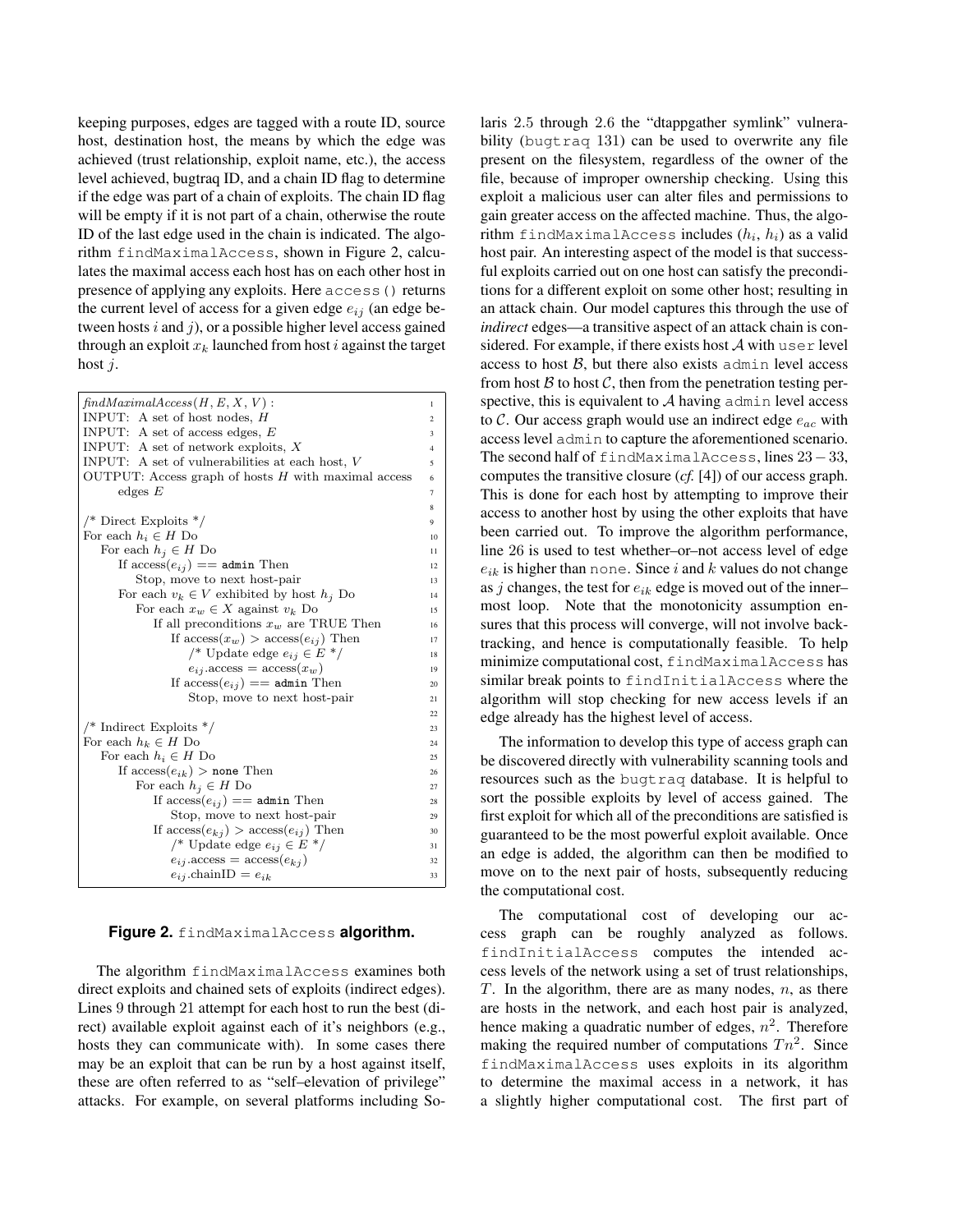keeping purposes, edges are tagged with a route ID, source host, destination host, the means by which the edge was achieved (trust relationship, exploit name, etc.), the access level achieved, bugtraq ID, and a chain ID flag to determine if the edge was part of a chain of exploits. The chain ID flag will be empty if it is not part of a chain, otherwise the route ID of the last edge used in the chain is indicated. The algorithm findMaximalAccess, shown in Figure 2, calculates the maximal access each host has on each other host in presence of applying any exploits. Here access() returns the current level of access for a given edge  $e_{ij}$  (an edge between hosts  $i$  and  $j$ ), or a possible higher level access gained through an exploit  $x_k$  launched from host i against the target host  $j$ .

| $findMaximalAccess(H, E, X, V)$ :                           | 1  |
|-------------------------------------------------------------|----|
| INPUT: A set of host nodes, $H$                             | 2  |
| INPUT: A set of access edges, $E$                           | 3  |
| INPUT: A set of network exploits, $X$                       | 4  |
| INPUT: A set of vulnerabilities at each host, $V$           | 5  |
| OUTPUT: Access graph of hosts $H$ with maximal access       | 6  |
| edges $E$                                                   | 7  |
|                                                             | 8  |
| $/*$ Direct Exploits $*/$                                   | 9  |
| For each $h_i \in H$ Do                                     | 10 |
| For each $h_j \in H$ Do                                     | 11 |
| If $\mathrm{access}(e_{ij}) == \mathrm{admin}$ Then         | 12 |
| Stop, move to next host-pair                                | 13 |
| For each $v_k \in V$ exhibited by host $h_i$ Do             | 14 |
| For each $x_w \in X$ against $v_k$ Do                       | 15 |
| If all preconditions $x_w$ are TRUE Then                    | 16 |
| If $\arccos(x_w) > \arccos(e_{ij})$ Then                    | 17 |
| /* Update edge $e_{ij} \in E^*$ /                           | 18 |
| $e_{ij}$ access = $\arccos(x_w)$                            | 19 |
| If $\mathrm{access}(e_{ij}) == \mathrm{admin}$ Then         | 20 |
| Stop, move to next host-pair                                | 21 |
|                                                             | 22 |
| $\frac{*}{*}$ Indirect Exploits $\frac{*}{*}$               | 23 |
| For each $h_k \in H$ Do                                     | 24 |
| For each $h_i \in H$ Do                                     | 25 |
| If $\mathrm{access}(e_{ik})$ > none Then                    | 26 |
| For each $h_i \in H$ Do                                     | 27 |
| If $\mathrm{access}(e_{ij}) == \mathrm{admin}$ Then         | 28 |
| Stop, move to next host-pair                                | 29 |
| If $\mathrm{access}(e_{kj}) > \mathrm{access}(e_{ij})$ Then | 30 |
| /* Update edge $e_{ij} \in E^*$ /                           | 31 |
| $e_{ij}$ access = $\arccos(e_{kj})$                         | 32 |
| $e_{ij}$ .chainID = $e_{ik}$                                | 33 |

#### **Figure 2.** findMaximalAccess **algorithm.**

The algorithm findMaximalAccess examines both direct exploits and chained sets of exploits (indirect edges). Lines 9 through 21 attempt for each host to run the best (direct) available exploit against each of it's neighbors (e.g., hosts they can communicate with). In some cases there may be an exploit that can be run by a host against itself, these are often referred to as "self–elevation of privilege" attacks. For example, on several platforms including Solaris 2.5 through 2.6 the "dtappgather symlink" vulnerability (bugtraq 131) can be used to overwrite any file present on the filesystem, regardless of the owner of the file, because of improper ownership checking. Using this exploit a malicious user can alter files and permissions to gain greater access on the affected machine. Thus, the algorithm findMaximalAccess includes  $\left( h_i,\, h_i \right)$  as a valid host pair. An interesting aspect of the model is that successful exploits carried out on one host can satisfy the preconditions for a different exploit on some other host; resulting in an attack chain. Our model captures this through the use of *indirect* edges—a transitive aspect of an attack chain is considered. For example, if there exists host  $A$  with user level access to host  $\beta$ , but there also exists admin level access from host  $B$  to host  $C$ , then from the penetration testing perspective, this is equivalent to  $A$  having admin level access to C. Our access graph would use an indirect edge  $e_{ac}$  with access level admin to capture the aforementioned scenario. The second half of findMaximalAccess, lines  $23-33$ , computes the transitive closure (*cf.* [4]) of our access graph. This is done for each host by attempting to improve their access to another host by using the other exploits that have been carried out. To improve the algorithm performance, line 26 is used to test whether–or–not access level of edge  $e_{ik}$  is higher than none. Since i and k values do not change as j changes, the test for  $e_{ik}$  edge is moved out of the innermost loop. Note that the monotonicity assumption ensures that this process will converge, will not involve backtracking, and hence is computationally feasible. To help minimize computational cost, findMaximalAccess has similar break points to findInitialAccess where the algorithm will stop checking for new access levels if an edge already has the highest level of access.

The information to develop this type of access graph can be discovered directly with vulnerability scanning tools and resources such as the bugtraq database. It is helpful to sort the possible exploits by level of access gained. The first exploit for which all of the preconditions are satisfied is guaranteed to be the most powerful exploit available. Once an edge is added, the algorithm can then be modified to move on to the next pair of hosts, subsequently reducing the computational cost.

The computational cost of developing our access graph can be roughly analyzed as follows. findInitialAccess computes the intended access levels of the network using a set of trust relationships, T. In the algorithm, there are as many nodes,  $n$ , as there are hosts in the network, and each host pair is analyzed, hence making a quadratic number of edges,  $n^2$ . Therefore making the required number of computations  $Tn^2$ . Since findMaximalAccess uses exploits in its algorithm to determine the maximal access in a network, it has a slightly higher computational cost. The first part of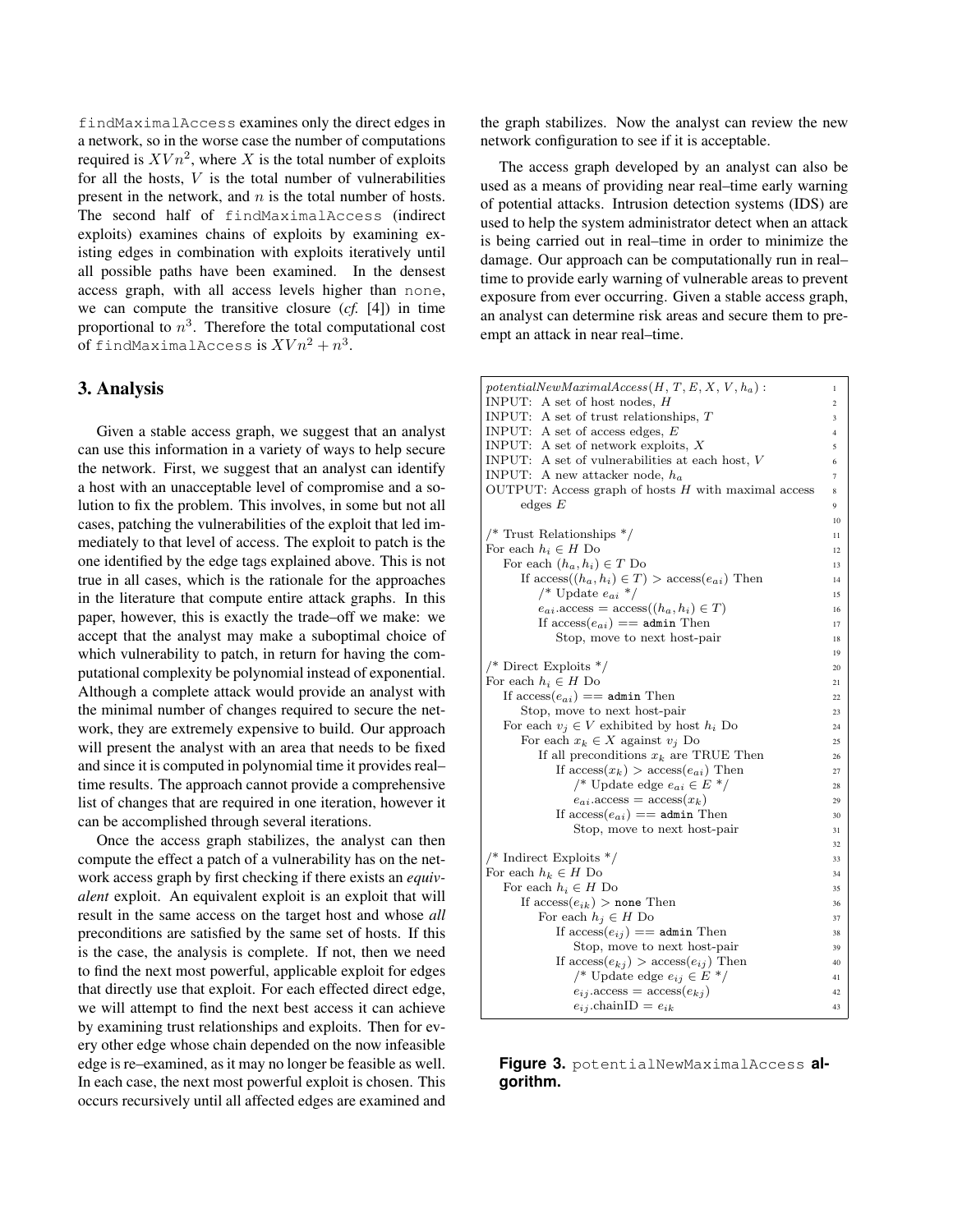findMaximalAccess examines only the direct edges in a network, so in the worse case the number of computations required is  $X V n^2$ , where X is the total number of exploits for all the hosts,  $V$  is the total number of vulnerabilities present in the network, and  $n$  is the total number of hosts. The second half of findMaximalAccess (indirect exploits) examines chains of exploits by examining existing edges in combination with exploits iteratively until all possible paths have been examined. In the densest access graph, with all access levels higher than none, we can compute the transitive closure (*cf.* [4]) in time proportional to  $n^3$ . Therefore the total computational cost of findMaximalAccess is  $XVn^2 + n^3$ .

### 3. Analysis

Given a stable access graph, we suggest that an analyst can use this information in a variety of ways to help secure the network. First, we suggest that an analyst can identify a host with an unacceptable level of compromise and a solution to fix the problem. This involves, in some but not all cases, patching the vulnerabilities of the exploit that led immediately to that level of access. The exploit to patch is the one identified by the edge tags explained above. This is not true in all cases, which is the rationale for the approaches in the literature that compute entire attack graphs. In this paper, however, this is exactly the trade–off we make: we accept that the analyst may make a suboptimal choice of which vulnerability to patch, in return for having the computational complexity be polynomial instead of exponential. Although a complete attack would provide an analyst with the minimal number of changes required to secure the network, they are extremely expensive to build. Our approach will present the analyst with an area that needs to be fixed and since it is computed in polynomial time it provides real– time results. The approach cannot provide a comprehensive list of changes that are required in one iteration, however it can be accomplished through several iterations.

Once the access graph stabilizes, the analyst can then compute the effect a patch of a vulnerability has on the network access graph by first checking if there exists an *equivalent* exploit. An equivalent exploit is an exploit that will result in the same access on the target host and whose *all* preconditions are satisfied by the same set of hosts. If this is the case, the analysis is complete. If not, then we need to find the next most powerful, applicable exploit for edges that directly use that exploit. For each effected direct edge, we will attempt to find the next best access it can achieve by examining trust relationships and exploits. Then for every other edge whose chain depended on the now infeasible edge is re–examined, as it may no longer be feasible as well. In each case, the next most powerful exploit is chosen. This occurs recursively until all affected edges are examined and

the graph stabilizes. Now the analyst can review the new network configuration to see if it is acceptable.

The access graph developed by an analyst can also be used as a means of providing near real–time early warning of potential attacks. Intrusion detection systems (IDS) are used to help the system administrator detect when an attack is being carried out in real–time in order to minimize the damage. Our approach can be computationally run in real– time to provide early warning of vulnerable areas to prevent exposure from ever occurring. Given a stable access graph, an analyst can determine risk areas and secure them to preempt an attack in near real–time.

| $potential New Maximal Access(H, T, E, X, V, h_a):$         | $\mathbf{1}$   |
|-------------------------------------------------------------|----------------|
| INPUT: A set of host nodes, $H$                             | $\overline{2}$ |
| INPUT: A set of trust relationships, $T$                    | 3              |
| INPUT: A set of access edges, $E$                           | 4              |
| INPUT: A set of network exploits, $X$                       | 5              |
| INPUT: A set of vulnerabilities at each host, $V$           | 6              |
| INPUT: A new attacker node, $h_a$                           | 7              |
| OUTPUT: Access graph of hosts $H$ with maximal access       | 8              |
| edges $E$                                                   | 9              |
|                                                             | 10             |
| $/*$ Trust Relationships $*/$                               | 11             |
| For each $h_i \in H$ Do                                     | 12             |
| For each $(h_a, h_i) \in T$ Do                              | 13             |
| If $\arccos((h_a, h_i) \in T) > \arccos(e_{ai})$ Then       | 14             |
| /* Update $e_{ai}$ */                                       | 15             |
| $e_{ai}$ access = access( $(h_a, h_i) \in T$ )              | 16             |
| If $\mathrm{access}(e_{ai}) ==$ admin Then                  | 17             |
| Stop, move to next host-pair                                | 18             |
|                                                             | 19             |
| $/*$ Direct Exploits $*/$                                   | 20             |
| For each $h_i \in H$ Do                                     | 21             |
| If $\mathrm{access}(e_{ai}) ==$ admin Then                  | 22             |
| Stop, move to next host-pair                                | 23             |
| For each $v_i \in V$ exhibited by host $h_i$ Do             | 24             |
| For each $x_k \in X$ against $v_i$ Do                       | 25             |
| If all preconditions $x_k$ are TRUE Then                    | 26             |
| If $\mathrm{access}(x_k) > \mathrm{access}(e_{ai})$ Then    | 27             |
| /* Update edge $e_{ai} \in E^*$ /                           | 28             |
| $e_{ai}$ access = $\arccos(x_k)$                            | 29             |
| If $\mathrm{access}(e_{ai}) ==$ admin Then                  | 30             |
| Stop, move to next host-pair                                | 31             |
|                                                             | 32             |
| $/*$ Indirect Exploits $*/$                                 | 33             |
| For each $h_k \in H$ Do                                     | 34             |
| For each $h_i \in H$ Do                                     | 35             |
| If $\mathrm{access}(e_{ik})$ > none Then                    | 36             |
| For each $h_j \in H$ Do                                     | 37             |
| If $\mathrm{access}(e_{ij}) == \mathrm{admin}$ Then         | 38             |
| Stop, move to next host-pair                                | 39             |
| If $\mathrm{access}(e_{ki}) > \mathrm{access}(e_{ij})$ Then | 40             |
| /* Update edge $e_{ij} \in E^*$ /                           | 41             |
| $e_{ij}$ access = $\arccos(e_{kj})$                         | 42             |
| $e_{ij}$ .chainID = $e_{ik}$                                | 43             |

**Figure 3.** potentialNewMaximalAccess **algorithm.**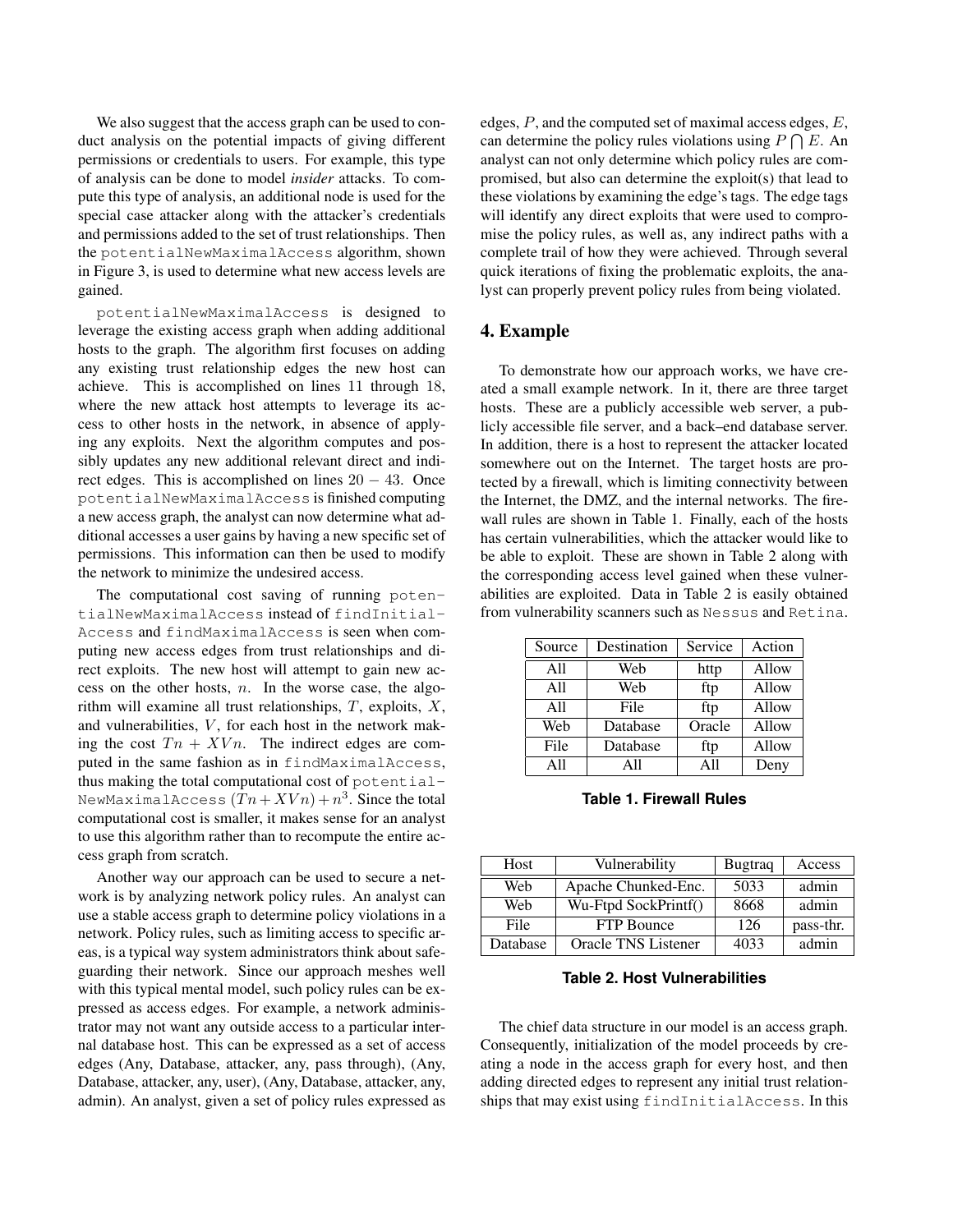We also suggest that the access graph can be used to conduct analysis on the potential impacts of giving different permissions or credentials to users. For example, this type of analysis can be done to model *insider* attacks. To compute this type of analysis, an additional node is used for the special case attacker along with the attacker's credentials and permissions added to the set of trust relationships. Then the potentialNewMaximalAccess algorithm, shown in Figure 3, is used to determine what new access levels are gained.

potentialNewMaximalAccess is designed to leverage the existing access graph when adding additional hosts to the graph. The algorithm first focuses on adding any existing trust relationship edges the new host can achieve. This is accomplished on lines 11 through 18, where the new attack host attempts to leverage its access to other hosts in the network, in absence of applying any exploits. Next the algorithm computes and possibly updates any new additional relevant direct and indirect edges. This is accomplished on lines  $20 - 43$ . Once potentialNewMaximalAccess is finished computing a new access graph, the analyst can now determine what additional accesses a user gains by having a new specific set of permissions. This information can then be used to modify the network to minimize the undesired access.

The computational cost saving of running potentialNewMaximalAccess instead of findInitial-Access and findMaximalAccess is seen when computing new access edges from trust relationships and direct exploits. The new host will attempt to gain new access on the other hosts,  $n$ . In the worse case, the algorithm will examine all trust relationships,  $T$ , exploits,  $X$ , and vulnerabilities,  $V$ , for each host in the network making the cost  $T_n + XV_n$ . The indirect edges are computed in the same fashion as in findMaximalAccess, thus making the total computational cost of potential-NewMaximalAccess  $(Tn+XVn)+n^3.$  Since the total computational cost is smaller, it makes sense for an analyst to use this algorithm rather than to recompute the entire access graph from scratch.

Another way our approach can be used to secure a network is by analyzing network policy rules. An analyst can use a stable access graph to determine policy violations in a network. Policy rules, such as limiting access to specific areas, is a typical way system administrators think about safeguarding their network. Since our approach meshes well with this typical mental model, such policy rules can be expressed as access edges. For example, a network administrator may not want any outside access to a particular internal database host. This can be expressed as a set of access edges (Any, Database, attacker, any, pass through), (Any, Database, attacker, any, user), (Any, Database, attacker, any, admin). An analyst, given a set of policy rules expressed as edges,  $P$ , and the computed set of maximal access edges,  $E$ , can determine the policy rules violations using  $P \bigcap E$ . An analyst can not only determine which policy rules are compromised, but also can determine the exploit(s) that lead to these violations by examining the edge's tags. The edge tags will identify any direct exploits that were used to compromise the policy rules, as well as, any indirect paths with a complete trail of how they were achieved. Through several quick iterations of fixing the problematic exploits, the analyst can properly prevent policy rules from being violated.

## 4. Example

To demonstrate how our approach works, we have created a small example network. In it, there are three target hosts. These are a publicly accessible web server, a publicly accessible file server, and a back–end database server. In addition, there is a host to represent the attacker located somewhere out on the Internet. The target hosts are protected by a firewall, which is limiting connectivity between the Internet, the DMZ, and the internal networks. The firewall rules are shown in Table 1. Finally, each of the hosts has certain vulnerabilities, which the attacker would like to be able to exploit. These are shown in Table 2 along with the corresponding access level gained when these vulnerabilities are exploited. Data in Table 2 is easily obtained from vulnerability scanners such as Nessus and Retina.

| Source | Destination | Service | Action |
|--------|-------------|---------|--------|
| A11    | Web         | http    | Allow  |
| A11    | Web         | ftp     | Allow  |
| A11    | File        | ftp     | Allow  |
| Web    | Database    | Oracle  | Allow  |
| File   | Database    | ftp     | Allow  |
| A11    | $\Delta$ 11 | A11     | Deny   |

**Table 1. Firewall Rules**

| Host     | Vulnerability        | <b>Bugtraq</b> | Access    |
|----------|----------------------|----------------|-----------|
| Web      | Apache Chunked-Enc.  | 5033           | admin     |
| Web      | Wu-Ftpd SockPrintf() | 8668           | admin     |
| File     | FTP Bounce           | 126            | pass-thr. |
| Database | Oracle TNS Listener  | 4033           | admin     |

**Table 2. Host Vulnerabilities**

The chief data structure in our model is an access graph. Consequently, initialization of the model proceeds by creating a node in the access graph for every host, and then adding directed edges to represent any initial trust relationships that may exist using findInitialAccess. In this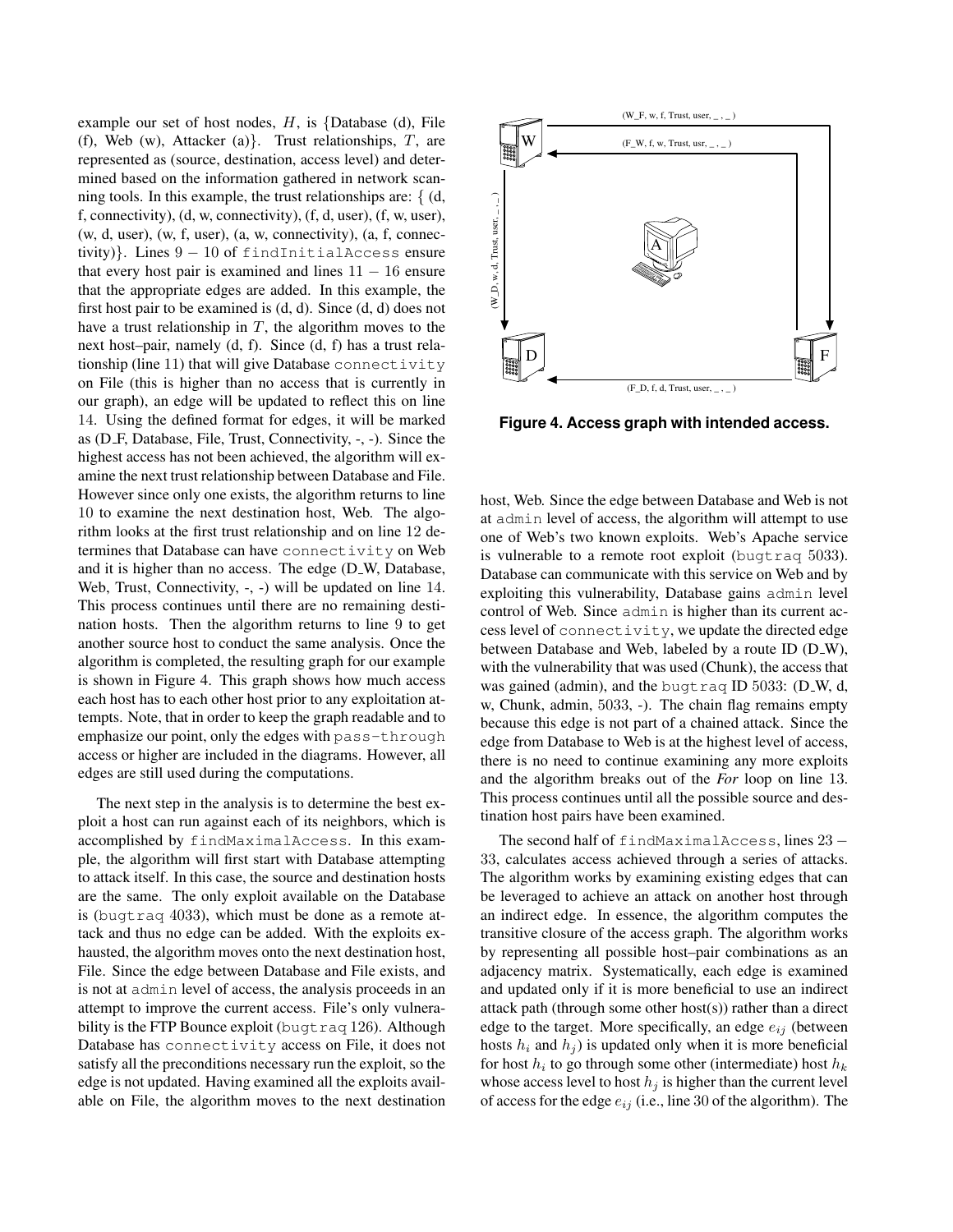example our set of host nodes,  $H$ , is {Database (d), File (f), Web (w), Attacker (a). Trust relationships,  $T$ , are represented as (source, destination, access level) and determined based on the information gathered in network scanning tools. In this example, the trust relationships are:  $\{ (d,$ f, connectivity), (d, w, connectivity), (f, d, user), (f, w, user),  $(w, d, user), (w, f, user), (a, w, connectivity), (a, f, connect$ tivity). Lines  $9 - 10$  of findInitialAccess ensure that every host pair is examined and lines  $11 - 16$  ensure that the appropriate edges are added. In this example, the first host pair to be examined is (d, d). Since (d, d) does not have a trust relationship in  $T$ , the algorithm moves to the next host–pair, namely (d, f). Since (d, f) has a trust relationship (line 11) that will give Database connectivity on File (this is higher than no access that is currently in our graph), an edge will be updated to reflect this on line 14. Using the defined format for edges, it will be marked as (D F, Database, File, Trust, Connectivity, -, -). Since the highest access has not been achieved, the algorithm will examine the next trust relationship between Database and File. However since only one exists, the algorithm returns to line 10 to examine the next destination host, Web. The algorithm looks at the first trust relationship and on line 12 determines that Database can have connectivity on Web and it is higher than no access. The edge (D\_W, Database, Web, Trust, Connectivity, -, -) will be updated on line 14. This process continues until there are no remaining destination hosts. Then the algorithm returns to line 9 to get another source host to conduct the same analysis. Once the algorithm is completed, the resulting graph for our example is shown in Figure 4. This graph shows how much access each host has to each other host prior to any exploitation attempts. Note, that in order to keep the graph readable and to emphasize our point, only the edges with pass-through access or higher are included in the diagrams. However, all edges are still used during the computations. Extrained this higher than to access that is sure the storead voltained in the product of this in the next of the next destination of File (this is higher than on crease that is currently in our graph), an edge will be up

The next step in the analysis is to determine the best exploit a host can run against each of its neighbors, which is accomplished by findMaximalAccess. In this example, the algorithm will first start with Database attempting to attack itself. In this case, the source and destination hosts are the same. The only exploit available on the Database is (bugtraq 4033), which must be done as a remote attack and thus no edge can be added. With the exploits exhausted, the algorithm moves onto the next destination host, File. Since the edge between Database and File exists, and is not at admin level of access, the analysis proceeds in an attempt to improve the current access. File's only vulnerability is the FTP Bounce exploit (bugtraq 126). Although Database has connectivity access on File, it does not satisfy all the preconditions necessary run the exploit, so the edge is not updated. Having examined all the exploits avail-



**Figure 4. Access graph with intended access.**

host, Web. Since the edge between Database and Web is not at admin level of access, the algorithm will attempt to use one of Web's two known exploits. Web's Apache service is vulnerable to a remote root exploit (bugtraq 5033). Database can communicate with this service on Web and by exploiting this vulnerability, Database gains admin level control of Web. Since admin is higher than its current access level of connectivity, we update the directed edge between Database and Web, labeled by a route ID (D\_W), with the vulnerability that was used (Chunk), the access that was gained (admin), and the bugtraq ID  $5033$ : (D\_W, d, w, Chunk, admin, 5033, -). The chain flag remains empty because this edge is not part of a chained attack. Since the edge from Database to Web is at the highest level of access, there is no need to continue examining any more exploits and the algorithm breaks out of the *For* loop on line 13. This process continues until all the possible source and destination host pairs have been examined.

The second half of findMaximalAccess, lines 23 − 33, calculates access achieved through a series of attacks. The algorithm works by examining existing edges that can be leveraged to achieve an attack on another host through an indirect edge. In essence, the algorithm computes the transitive closure of the access graph. The algorithm works by representing all possible host–pair combinations as an adjacency matrix. Systematically, each edge is examined and updated only if it is more beneficial to use an indirect attack path (through some other host(s)) rather than a direct edge to the target. More specifically, an edge  $e_{ij}$  (between hosts  $h_i$  and  $h_j$ ) is updated only when it is more beneficial for host  $h_i$  to go through some other (intermediate) host  $h_k$ whose access level to host  $h_i$  is higher than the current level of access for the edge  $e_{ij}$  (i.e., line 30 of the algorithm). The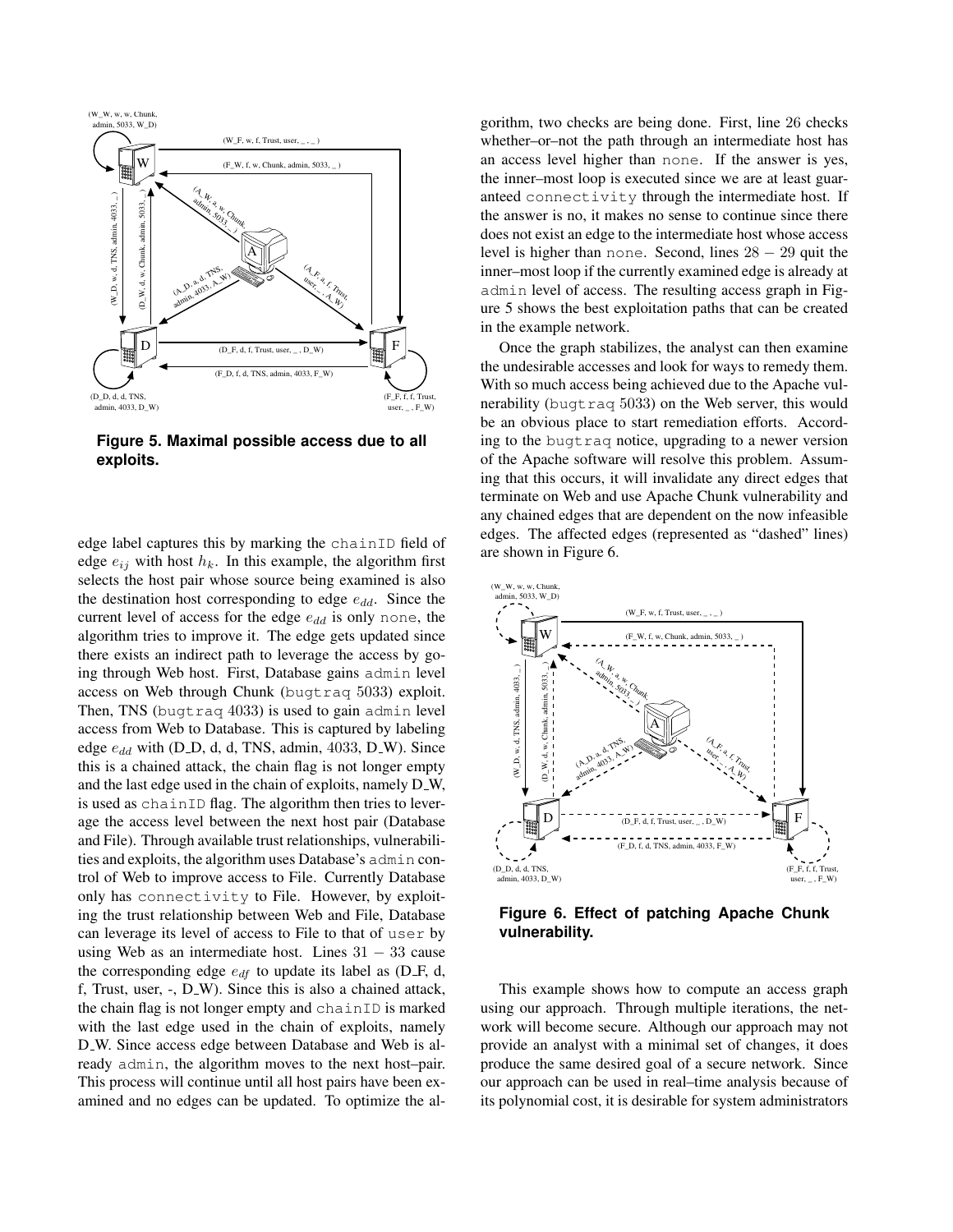

**Figure 5. Maximal possible access due to all exploits.**

edge label captures this by marking the chainID field of edge  $e_{ij}$  with host  $h_k$ . In this example, the algorithm first selects the host pair whose source being examined is also the destination host corresponding to edge  $e_{dd}$ . Since the current level of access for the edge  $e_{dd}$  is only none, the algorithm tries to improve it. The edge gets updated since there exists an indirect path to leverage the access by going through Web host. First, Database gains admin level access on Web through Chunk (bugtraq 5033) exploit. Then, TNS (bugtraq 4033) is used to gain admin level access from Web to Database. This is captured by labeling edge  $e_{dd}$  with (D<sub>-D</sub>, d, d, TNS, admin, 4033, D<sub>-W</sub>). Since this is a chained attack, the chain flag is not longer empty and the last edge used in the chain of exploits, namely D<sub>-W</sub>, is used as chainID flag. The algorithm then tries to leverage the access level between the next host pair (Database and File). Through available trust relationships, vulnerabilities and exploits, the algorithm uses Database's admin control of Web to improve access to File. Currently Database only has connectivity to File. However, by exploiting the trust relationship between Web and File, Database can leverage its level of access to File to that of user by using Web as an intermediate host. Lines  $31 - 33$  cause the corresponding edge  $e_{df}$  to update its label as (D\_F, d, f, Trust, user, -, D W). Since this is also a chained attack, the chain flag is not longer empty and chainID is marked with the last edge used in the chain of exploits, namely D<sub>-</sub>W. Since access edge between Database and Web is already admin, the algorithm moves to the next host–pair. This process will continue until all host pairs have been examined and no edges can be updated. To optimize the algorithm, two checks are being done. First, line 26 checks whether–or–not the path through an intermediate host has an access level higher than none. If the answer is yes, the inner–most loop is executed since we are at least guaranteed connectivity through the intermediate host. If the answer is no, it makes no sense to continue since there does not exist an edge to the intermediate host whose access level is higher than none. Second, lines  $28 - 29$  quit the inner–most loop if the currently examined edge is already at admin level of access. The resulting access graph in Figure 5 shows the best exploitation paths that can be created in the example network.

Once the graph stabilizes, the analyst can then examine the undesirable accesses and look for ways to remedy them. With so much access being achieved due to the Apache vulnerability (bugtraq 5033) on the Web server, this would be an obvious place to start remediation efforts. According to the bugtraq notice, upgrading to a newer version of the Apache software will resolve this problem. Assuming that this occurs, it will invalidate any direct edges that terminate on Web and use Apache Chunk vulnerability and any chained edges that are dependent on the now infeasible edges. The affected edges (represented as "dashed" lines) are shown in Figure 6.



**Figure 6. Effect of patching Apache Chunk vulnerability.**

This example shows how to compute an access graph using our approach. Through multiple iterations, the network will become secure. Although our approach may not provide an analyst with a minimal set of changes, it does produce the same desired goal of a secure network. Since our approach can be used in real–time analysis because of its polynomial cost, it is desirable for system administrators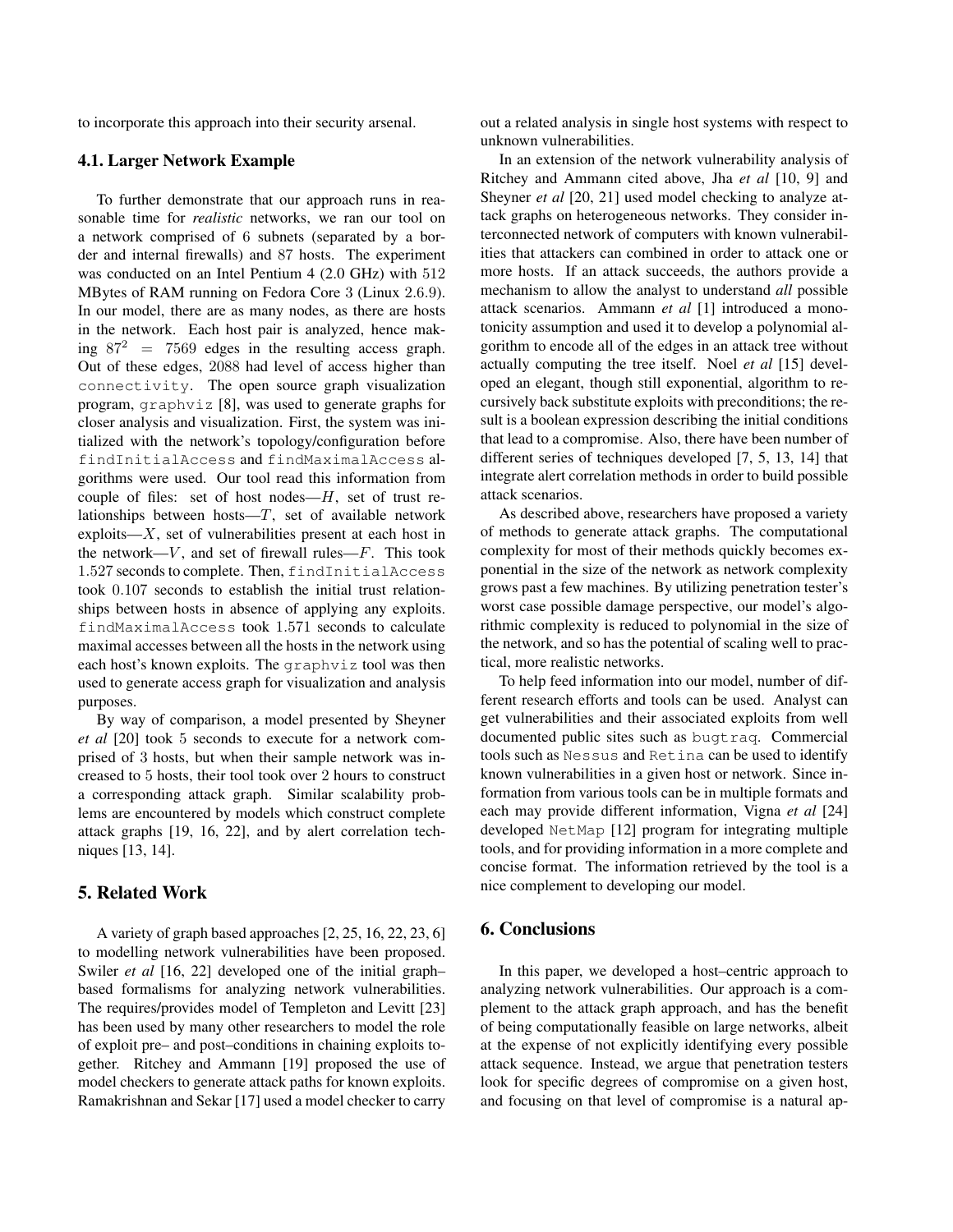to incorporate this approach into their security arsenal.

#### 4.1. Larger Network Example

To further demonstrate that our approach runs in reasonable time for *realistic* networks, we ran our tool on a network comprised of 6 subnets (separated by a border and internal firewalls) and 87 hosts. The experiment was conducted on an Intel Pentium 4 (2.0 GHz) with 512 MBytes of RAM running on Fedora Core 3 (Linux 2.6.9). In our model, there are as many nodes, as there are hosts in the network. Each host pair is analyzed, hence making  $87^2$  = 7569 edges in the resulting access graph. Out of these edges, 2088 had level of access higher than connectivity. The open source graph visualization program, graphviz [8], was used to generate graphs for closer analysis and visualization. First, the system was initialized with the network's topology/configuration before findInitialAccess and findMaximalAccess algorithms were used. Our tool read this information from couple of files: set of host nodes— $H$ , set of trust relationships between hosts—T, set of available network exploits— $X$ , set of vulnerabilities present at each host in the network— $V$ , and set of firewall rules— $F$ . This took 1.527 seconds to complete. Then, findInitialAccess took 0.107 seconds to establish the initial trust relationships between hosts in absence of applying any exploits. findMaximalAccess took 1.571 seconds to calculate maximal accesses between all the hosts in the network using each host's known exploits. The graphviz tool was then used to generate access graph for visualization and analysis purposes.

By way of comparison, a model presented by Sheyner *et al* [20] took 5 seconds to execute for a network comprised of 3 hosts, but when their sample network was increased to 5 hosts, their tool took over 2 hours to construct a corresponding attack graph. Similar scalability problems are encountered by models which construct complete attack graphs [19, 16, 22], and by alert correlation techniques [13, 14].

## 5. Related Work

A variety of graph based approaches [2, 25, 16, 22, 23, 6] to modelling network vulnerabilities have been proposed. Swiler *et al* [16, 22] developed one of the initial graph– based formalisms for analyzing network vulnerabilities. The requires/provides model of Templeton and Levitt [23] has been used by many other researchers to model the role of exploit pre– and post–conditions in chaining exploits together. Ritchey and Ammann [19] proposed the use of model checkers to generate attack paths for known exploits. Ramakrishnan and Sekar [17] used a model checker to carry out a related analysis in single host systems with respect to unknown vulnerabilities.

In an extension of the network vulnerability analysis of Ritchey and Ammann cited above, Jha *et al* [10, 9] and Sheyner *et al* [20, 21] used model checking to analyze attack graphs on heterogeneous networks. They consider interconnected network of computers with known vulnerabilities that attackers can combined in order to attack one or more hosts. If an attack succeeds, the authors provide a mechanism to allow the analyst to understand *all* possible attack scenarios. Ammann *et al* [1] introduced a monotonicity assumption and used it to develop a polynomial algorithm to encode all of the edges in an attack tree without actually computing the tree itself. Noel *et al* [15] developed an elegant, though still exponential, algorithm to recursively back substitute exploits with preconditions; the result is a boolean expression describing the initial conditions that lead to a compromise. Also, there have been number of different series of techniques developed [7, 5, 13, 14] that integrate alert correlation methods in order to build possible attack scenarios.

As described above, researchers have proposed a variety of methods to generate attack graphs. The computational complexity for most of their methods quickly becomes exponential in the size of the network as network complexity grows past a few machines. By utilizing penetration tester's worst case possible damage perspective, our model's algorithmic complexity is reduced to polynomial in the size of the network, and so has the potential of scaling well to practical, more realistic networks.

To help feed information into our model, number of different research efforts and tools can be used. Analyst can get vulnerabilities and their associated exploits from well documented public sites such as bugtraq. Commercial tools such as Nessus and Retina can be used to identify known vulnerabilities in a given host or network. Since information from various tools can be in multiple formats and each may provide different information, Vigna *et al* [24] developed NetMap [12] program for integrating multiple tools, and for providing information in a more complete and concise format. The information retrieved by the tool is a nice complement to developing our model.

### 6. Conclusions

In this paper, we developed a host–centric approach to analyzing network vulnerabilities. Our approach is a complement to the attack graph approach, and has the benefit of being computationally feasible on large networks, albeit at the expense of not explicitly identifying every possible attack sequence. Instead, we argue that penetration testers look for specific degrees of compromise on a given host, and focusing on that level of compromise is a natural ap-